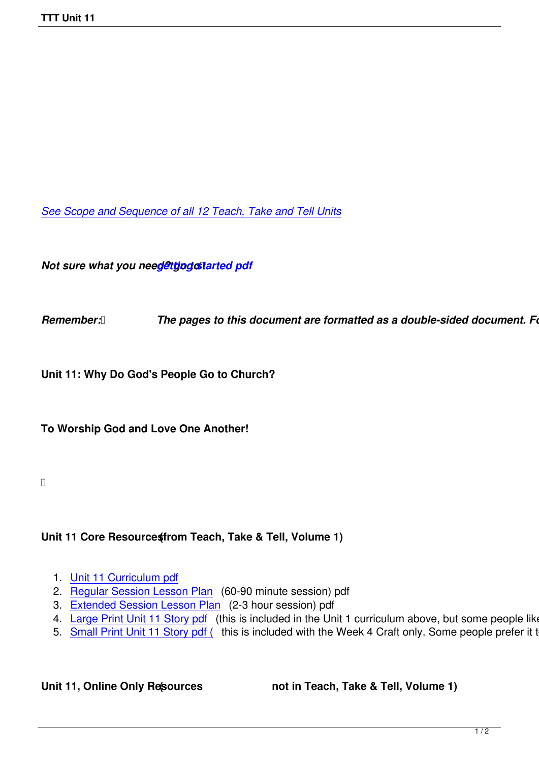*See Scope and Sequence of all 12 Teach, Take and Tell Units*

*Not sure what you need@ttjpgostarted pdf* 

**Remember: <b>***[The pages to this d](images/TTT/8 4 11 TTT/New TTT Website Documents/TTT Book portions/2nd GEtting Started.pdf)ocument are formatted as a double-sided document. Follow Formate printers in Formate as a double-sided document. Follow Formate.* 

**Unit 11: Why Do God's People Go to Church?**

**To Worship God and Love One Another!**

## Unit 11 Core Resource (from Teach, Take & Tell, Volume 1)

- 1. Unit 11 Curriculum pdf
- 2. Regular Session Lesson Plan (60-90 minute session) pdf
- 3. Extended Session Lesson Plan (2-3 hour session) pdf
- 4. [Large Print Unit 11 Sto](images/TTT/8 4 11 TTT/Unit 11/Unit 11/4th Unit 11 Curr Portion.pdf)ry pdf (this is included in the Unit 1 curriculum above, but some people like to
- 5. [Small Print Unit 11 Story pdf \(](images/TTT/8 4 11 TTT/Unit 11/Unit 11/3rdLP 11R.pdf) this is included with the Week 4 Craft only. Some people prefer it to the

Unit 11, Online Only Resources **(1)** not in Teach, Take & Tell, Volume 1)